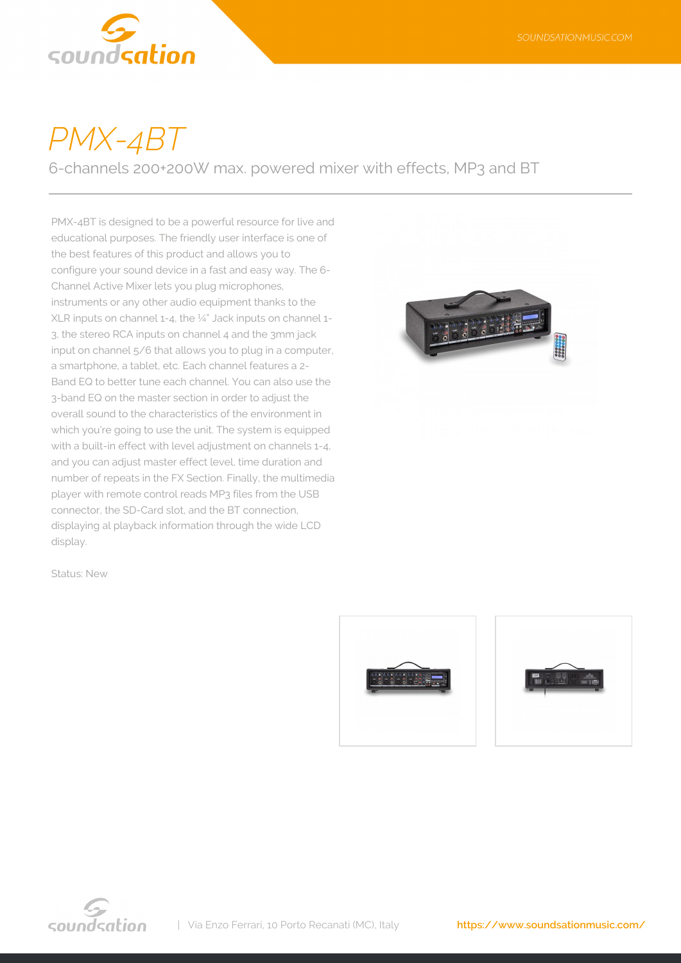

## *PMX-4BT*

6-channels 200+200W max. powered mixer with effects, MP3 and BT

PMX-4BT is designed to be a powerful resource for live and educational purposes. The friendly user interface is one of the best features of this product and allows you to configure your sound device in a fast and easy way. The 6- Channel Active Mixer lets you plug microphones, instruments or any other audio equipment thanks to the XLR inputs on channel 1-4, the ¼" Jack inputs on channel 1- 3, the stereo RCA inputs on channel 4 and the 3mm jack input on channel 5/6 that allows you to plug in a computer, a smartphone, a tablet, etc. Each channel features a 2- Band EQ to better tune each channel. You can also use the 3-band EQ on the master section in order to adjust the overall sound to the characteristics of the environment in which you're going to use the unit. The system is equipped with a built-in effect with level adjustment on channels 1-4. and you can adjust master effect level, time duration and number of repeats in the FX Section. Finally, the multimedia player with remote control reads MP3 files from the USB connector, the SD-Card slot, and the BT connection, displaying al playback information through the wide LCD display.



Status: New